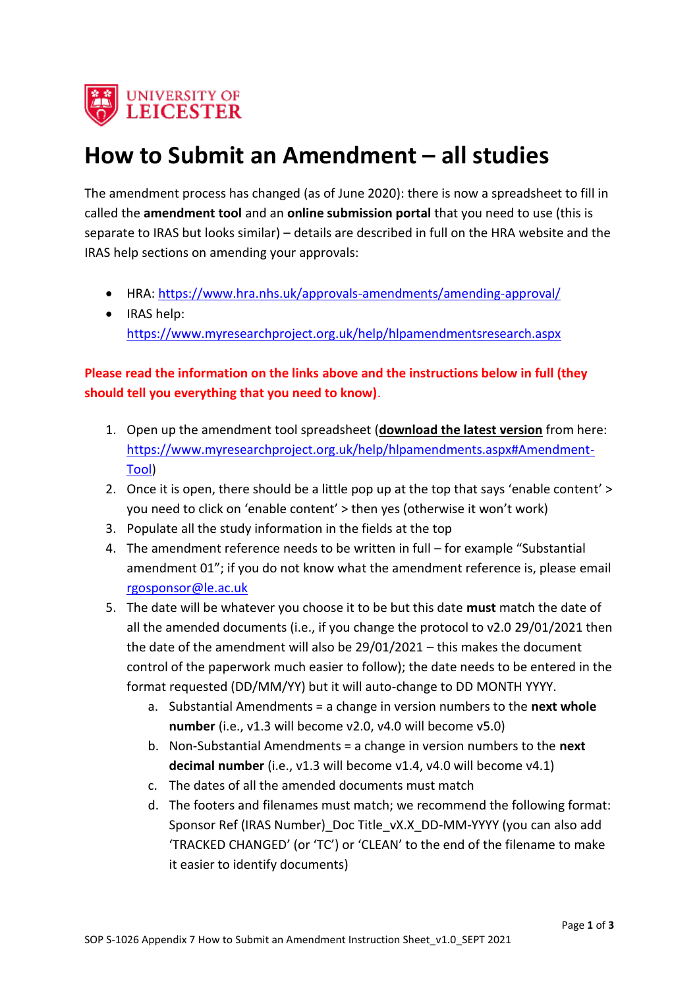

## **How to Submit an Amendment – all studies**

The amendment process has changed (as of June 2020): there is now a spreadsheet to fill in called the **amendment tool** and an **online submission portal** that you need to use (this is separate to IRAS but looks similar) – details are described in full on the HRA website and the IRAS help sections on amending your approvals:

- HRA: [https://www.hra.nhs.uk/approvals-amendments/amending-approval/](https://eur03.safelinks.protection.outlook.com/?url=https%3A%2F%2Fwww.hra.nhs.uk%2Fapprovals-amendments%2Famending-approval%2F&data=04%7C01%7Ccat.taylor%40leicester.ac.uk%7Cdc27abaa00f3490d602c08d8c44e5272%7Caebecd6a31d44b0195ce8274afe853d9%7C0%7C0%7C637475187949880992%7CUnknown%7CTWFpbGZsb3d8eyJWIjoiMC4wLjAwMDAiLCJQIjoiV2luMzIiLCJBTiI6Ik1haWwiLCJXVCI6Mn0%3D%7C1000&sdata=NewoKfCQhnTudVb6SOuCWKFMKlrOUaiYzZH%2FNK5ybQw%3D&reserved=0)
- IRAS help: [https://www.myresearchproject.org.uk/help/hlpamendmentsresearch.aspx](https://eur03.safelinks.protection.outlook.com/?url=https%3A%2F%2Fwww.myresearchproject.org.uk%2Fhelp%2Fhlpamendmentsresearch.aspx&data=04%7C01%7Ccat.taylor%40leicester.ac.uk%7Cdc27abaa00f3490d602c08d8c44e5272%7Caebecd6a31d44b0195ce8274afe853d9%7C0%7C0%7C637475187949880992%7CUnknown%7CTWFpbGZsb3d8eyJWIjoiMC4wLjAwMDAiLCJQIjoiV2luMzIiLCJBTiI6Ik1haWwiLCJXVCI6Mn0%3D%7C1000&sdata=9Co851iymqD4T7oeXrJNxPcKfr4wr6jN4oZ4kuiKFSc%3D&reserved=0)

### **Please read the information on the links above and the instructions below in full (they should tell you everything that you need to know)**.

- 1. Open up the amendment tool spreadsheet (**download the latest version** from here: [https://www.myresearchproject.org.uk/help/hlpamendments.aspx#Amendment-](https://www.myresearchproject.org.uk/help/hlpamendments.aspx#Amendment-Tool)[Tool\)](https://www.myresearchproject.org.uk/help/hlpamendments.aspx#Amendment-Tool)
- 2. Once it is open, there should be a little pop up at the top that says 'enable content' > you need to click on 'enable content' > then yes (otherwise it won't work)
- 3. Populate all the study information in the fields at the top
- 4. The amendment reference needs to be written in full for example "Substantial amendment 01"; if you do not know what the amendment reference is, please email [rgosponsor@le.ac.uk](mailto:rgosponsor@le.ac.uk)
- 5. The date will be whatever you choose it to be but this date **must** match the date of all the amended documents (i.e., if you change the protocol to v2.0 29/01/2021 then the date of the amendment will also be 29/01/2021 – this makes the document control of the paperwork much easier to follow); the date needs to be entered in the format requested (DD/MM/YY) but it will auto-change to DD MONTH YYYY.
	- a. Substantial Amendments = a change in version numbers to the **next whole number** (i.e., v1.3 will become v2.0, v4.0 will become v5.0)
	- b. Non-Substantial Amendments = a change in version numbers to the **next decimal number** (i.e., v1.3 will become v1.4, v4.0 will become v4.1)
	- c. The dates of all the amended documents must match
	- d. The footers and filenames must match; we recommend the following format: Sponsor Ref (IRAS Number) Doc Title\_vX.X\_DD-MM-YYYY (you can also add 'TRACKED CHANGED' (or 'TC') or 'CLEAN' to the end of the filename to make it easier to identify documents)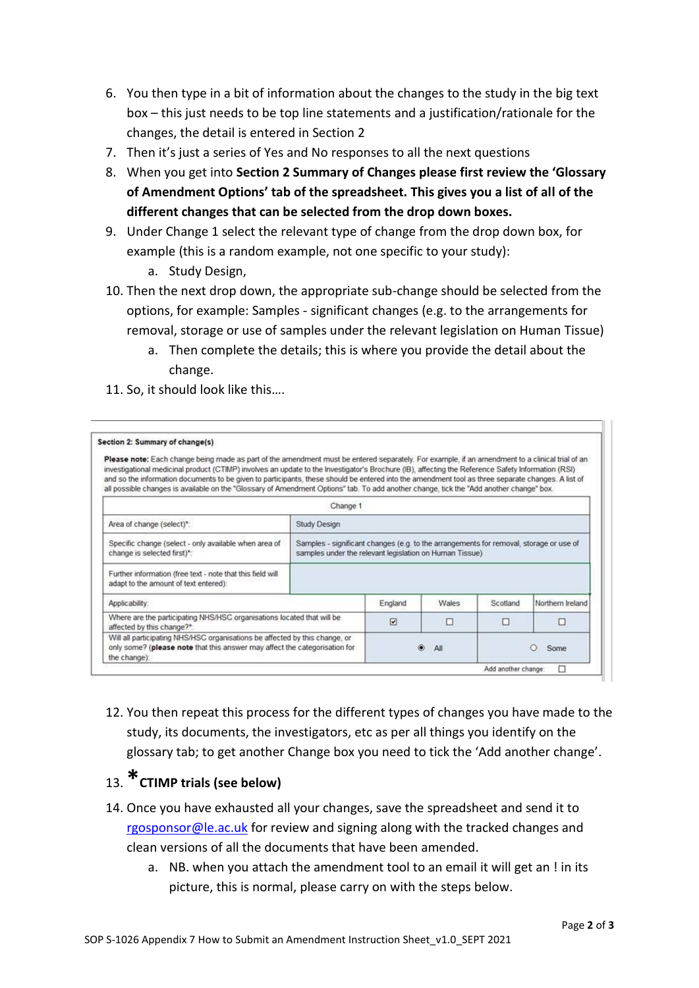- 6. You then type in a bit of information about the changes to the study in the big text box – this just needs to be top line statements and a justification/rationale for the changes, the detail is entered in Section 2
- 7. Then it's just a series of Yes and No responses to all the next questions
- 8. When you get into **Section 2 Summary of Changes please first review the 'Glossary of Amendment Options' tab of the spreadsheet. This gives you a list of all of the different changes that can be selected from the drop down boxes.**
- 9. Under Change 1 select the relevant type of change from the drop down box, for example (this is a random example, not one specific to your study):
	- a. Study Design,
- 10. Then the next drop down, the appropriate sub-change should be selected from the options, for example: Samples - significant changes (e.g. to the arrangements for removal, storage or use of samples under the relevant legislation on Human Tissue)
	- a. Then complete the details; this is where you provide the detail about the change.
- 11. So, it should look like this….

| Section 2: Summary of change(s)                                                                                                                                                                                                                                                                                                                                                                                                                                                                                                                                                                        |                                                                                                                                                   |                         |       |          |                  |
|--------------------------------------------------------------------------------------------------------------------------------------------------------------------------------------------------------------------------------------------------------------------------------------------------------------------------------------------------------------------------------------------------------------------------------------------------------------------------------------------------------------------------------------------------------------------------------------------------------|---------------------------------------------------------------------------------------------------------------------------------------------------|-------------------------|-------|----------|------------------|
| Please note: Each change being made as part of the amendment must be entered separately. For example, if an amendment to a clinical trial of an<br>investigational medicinal product (CTIMP) involves an update to the Investigator's Brochure (IB), affecting the Reference Safety Information (RSI)<br>and so the information documents to be given to participants, these should be entered into the amendment tool as three separate changes. A list of<br>all possible changes is available on the "Glossary of Amendment Options" tab. To add another change, tick the "Add another change" box. |                                                                                                                                                   |                         |       |          |                  |
|                                                                                                                                                                                                                                                                                                                                                                                                                                                                                                                                                                                                        | Change 1                                                                                                                                          |                         |       |          |                  |
| Area of change (select)*:                                                                                                                                                                                                                                                                                                                                                                                                                                                                                                                                                                              | <b>Study Design</b>                                                                                                                               |                         |       |          |                  |
| Specific change (select - only available when area of<br>change is selected first)*:                                                                                                                                                                                                                                                                                                                                                                                                                                                                                                                   | Samples - significant changes (e.g. to the arrangements for removal, storage or use of<br>samples under the relevant legislation on Human Tissue) |                         |       |          |                  |
| Further information (free text - note that this field will<br>adapt to the amount of text entered):                                                                                                                                                                                                                                                                                                                                                                                                                                                                                                    |                                                                                                                                                   |                         |       |          |                  |
| Applicability:                                                                                                                                                                                                                                                                                                                                                                                                                                                                                                                                                                                         |                                                                                                                                                   | England                 | Wales | Scotland | Northern Ireland |
| Where are the participating NHS/HSC organisations located that will be<br>affected by this change?*:                                                                                                                                                                                                                                                                                                                                                                                                                                                                                                   |                                                                                                                                                   | $\overline{\mathbf{v}}$ | □     | п        | п                |
| Will all participating NHS/HSC organisations be affected by this change, or<br>only some? (please note that this answer may affect the categorisation for<br>the change):                                                                                                                                                                                                                                                                                                                                                                                                                              |                                                                                                                                                   | All                     |       | Some     |                  |

12. You then repeat this process for the different types of changes you have made to the study, its documents, the investigators, etc as per all things you identify on the glossary tab; to get another Change box you need to tick the 'Add another change'.

### 13.**\*CTIMP trials (see below)**

- 14. Once you have exhausted all your changes, save the spreadsheet and send it to [rgosponsor@le.ac.uk](mailto:rgosponsor@le.ac.uk) for review and signing along with the tracked changes and clean versions of all the documents that have been amended.
	- a. NB. when you attach the amendment tool to an email it will get an ! in its picture, this is normal, please carry on with the steps below.